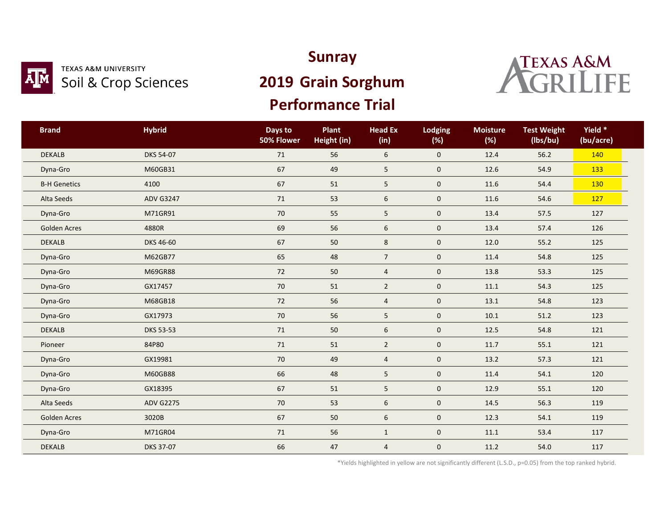

#### **TEXAS A&M UNIVERSITY** Soil & Crop Sciences

## **Sunray**

# **2019 Grain Sorghum**

## **Performance Trial**



| <b>Brand</b>        | <b>Hybrid</b>    | Days to<br>50% Flower | Plant<br>Height (in) | <b>Head Ex</b><br>(in) | <b>Lodging</b><br>(%) | <b>Moisture</b><br>(%) | <b>Test Weight</b><br>(lbs/bu) | Yield *<br>(bu/acre) |  |
|---------------------|------------------|-----------------------|----------------------|------------------------|-----------------------|------------------------|--------------------------------|----------------------|--|
| <b>DEKALB</b>       | DKS 54-07        | 71                    | 56                   | 6                      | $\mathbf 0$           | 12.4                   | 56.2                           | 140                  |  |
| Dyna-Gro            | M60GB31          | 67                    | 49                   | 5                      | $\mathbf 0$           | 12.6                   | 54.9                           | 133                  |  |
| <b>B-H Genetics</b> | 4100             | 67                    | 51                   | 5                      | $\mathbf 0$           | 11.6                   | 54.4                           | 130                  |  |
| Alta Seeds          | <b>ADV G3247</b> | $71\,$                | 53                   | 6                      | $\pmb{0}$             | 11.6                   | 54.6                           | 127                  |  |
| Dyna-Gro            | M71GR91          | 70                    | 55                   | 5                      | $\mathbf 0$           | 13.4                   | 57.5                           | 127                  |  |
| <b>Golden Acres</b> | 4880R            | 69                    | 56                   | 6                      | $\mathsf{O}\xspace$   | 13.4                   | 57.4                           | 126                  |  |
| <b>DEKALB</b>       | DKS 46-60        | 67                    | $50\,$               | 8                      | $\pmb{0}$             | 12.0                   | 55.2                           | 125                  |  |
| Dyna-Gro            | M62GB77          | 65                    | 48                   | $\overline{7}$         | $\mathbf 0$           | 11.4                   | 54.8                           | 125                  |  |
| Dyna-Gro            | M69GR88          | 72                    | 50                   | $\overline{4}$         | $\mathbf 0$           | 13.8                   | 53.3                           | 125                  |  |
| Dyna-Gro            | GX17457          | 70                    | 51                   | $\overline{2}$         | $\pmb{0}$             | 11.1                   | 54.3                           | 125                  |  |
| Dyna-Gro            | M68GB18          | 72                    | 56                   | $\overline{4}$         | $\mathbf 0$           | 13.1                   | 54.8                           | 123                  |  |
| Dyna-Gro            | GX17973          | 70                    | 56                   | 5                      | $\mathbf 0$           | 10.1                   | 51.2                           | 123                  |  |
| <b>DEKALB</b>       | <b>DKS 53-53</b> | 71                    | 50                   | 6                      | $\mathbf 0$           | 12.5                   | 54.8                           | 121                  |  |
| Pioneer             | 84P80            | $71\,$                | 51                   | $2^{\circ}$            | $\mathsf{O}\xspace$   | 11.7                   | 55.1                           | 121                  |  |
| Dyna-Gro            | GX19981          | 70                    | 49                   | $\overline{4}$         | $\mathbf 0$           | 13.2                   | 57.3                           | 121                  |  |
| Dyna-Gro            | M60GB88          | 66                    | 48                   | 5                      | $\mathbf 0$           | 11.4                   | 54.1                           | 120                  |  |
| Dyna-Gro            | GX18395          | 67                    | 51                   | 5                      | $\mathsf{O}\xspace$   | 12.9                   | 55.1                           | 120                  |  |
| Alta Seeds          | <b>ADV G2275</b> | 70                    | 53                   | 6                      | $\mathbf 0$           | 14.5                   | 56.3                           | 119                  |  |
| <b>Golden Acres</b> | 3020B            | 67                    | 50                   | 6                      | $\mathbf 0$           | 12.3                   | 54.1                           | 119                  |  |
| Dyna-Gro            | M71GR04          | $71\,$                | 56                   | $\mathbf{1}$           | $\mathbf 0$           | 11.1                   | 53.4                           | 117                  |  |
| <b>DEKALB</b>       | <b>DKS 37-07</b> | 66                    | 47                   | $\overline{a}$         | $\pmb{0}$             | 11.2                   | 54.0                           | 117                  |  |

\*Yields highlighted in yellow are not significantly different (L.S.D., p=0.05) from the top ranked hybrid.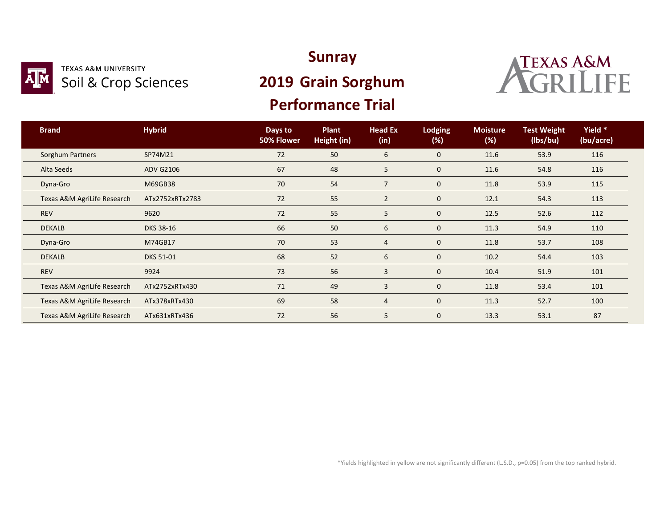

#### **TEXAS A&M UNIVERSITY** Soil & Crop Sciences

### **Sunray**

# **2019 Grain Sorghum**

### **Performance Trial**



| <b>Brand</b>                | <b>Hybrid</b>    | Days to<br>50% Flower | <b>Plant</b><br>Height (in) | <b>Head Ex</b><br>(in) | <b>Lodging</b><br>(%) | <b>Moisture</b><br>(%) | <b>Test Weight</b><br>(lbs/bu) | Yield *<br>(bu/acre) |  |
|-----------------------------|------------------|-----------------------|-----------------------------|------------------------|-----------------------|------------------------|--------------------------------|----------------------|--|
| <b>Sorghum Partners</b>     | SP74M21          | 72                    | 50                          | 6                      | $\mathbf 0$           | 11.6                   | 53.9                           | 116                  |  |
| Alta Seeds                  | <b>ADV G2106</b> | 67                    | 48                          | 5                      | $\mathbf 0$           | 11.6                   | 54.8                           | 116                  |  |
| Dyna-Gro                    | M69GB38          | 70                    | 54                          | $\overline{7}$         | $\mathbf 0$           | 11.8                   | 53.9                           | 115                  |  |
| Texas A&M AgriLife Research | ATx2752xRTx2783  | 72                    | 55                          | $\overline{2}$         | $\mathbf 0$           | 12.1                   | 54.3                           | 113                  |  |
| <b>REV</b>                  | 9620             | 72                    | 55                          | 5                      | $\mathbf 0$           | 12.5                   | 52.6                           | 112                  |  |
| <b>DEKALB</b>               | <b>DKS 38-16</b> | 66                    | 50                          | 6                      | $\mathbf 0$           | 11.3                   | 54.9                           | 110                  |  |
| Dyna-Gro                    | M74GB17          | 70                    | 53                          | 4                      | $\mathbf 0$           | 11.8                   | 53.7                           | 108                  |  |
| <b>DEKALB</b>               | DKS 51-01        | 68                    | 52                          | 6                      | $\mathbf 0$           | 10.2                   | 54.4                           | 103                  |  |
| <b>REV</b>                  | 9924             | 73                    | 56                          | 3                      | $\mathbf 0$           | 10.4                   | 51.9                           | 101                  |  |
| Texas A&M AgriLife Research | ATx2752xRTx430   | 71                    | 49                          | 3                      | $\mathbf 0$           | 11.8                   | 53.4                           | 101                  |  |
| Texas A&M AgriLife Research | ATx378xRTx430    | 69                    | 58                          | 4                      | $\mathbf 0$           | 11.3                   | 52.7                           | 100                  |  |
| Texas A&M AgriLife Research | ATx631xRTx436    | 72                    | 56                          | 5                      | $\mathbf 0$           | 13.3                   | 53.1                           | 87                   |  |